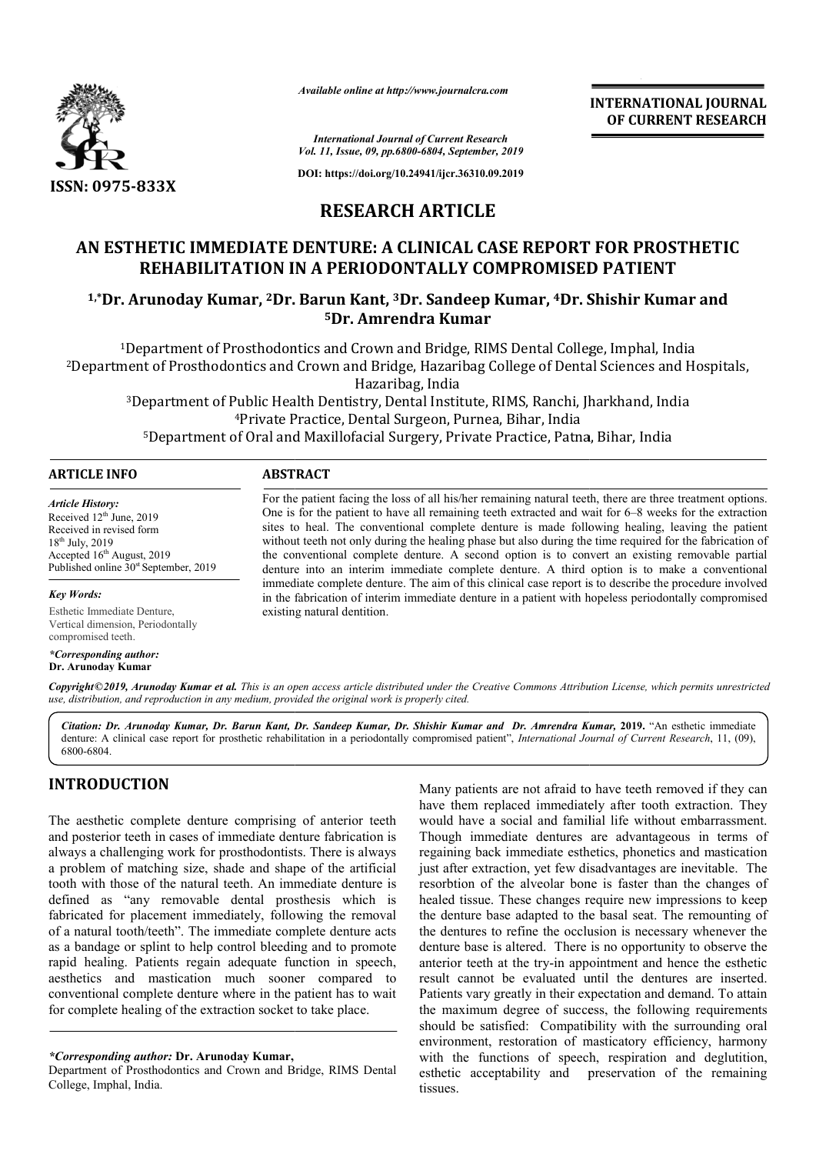

*Available online at http://www.journalcra.com*

**INTERNATIONAL JOURNAL OF CURRENT RESEARCH**

*International Journal of Current Research Vol. 11, Issue, 09, pp.6800-6804, September, 2019*

**DOI: https://doi.org/10.24941/ijcr.36310.09.2019**

## **RESEARCH ARTICLE**

# **AN ESTHETIC IMMEDIATE DENTURE: A CLINICAL CASE REPORT FOR PROSTHETIC REHABILITATION IN A PERIODONTALLY COMPROMISED PATIENT 1,\*Dr. Arunoday Kumar, 2011, 2013 NESTHETI REHABILITATION IN A PERIODONTALLY COMPROMISED PATIENT<br>1,\*Dr. Arunoday Kumar, <sup>2</sup>Dr. Barun Kant, <sup>3</sup>Dr. Sandeep Kumar, <sup>4</sup>Dr. Shishir Kumar and**

**5Dr. Amrendra Kumar**

1Department of Prosthodontics and Crown and Bridge, RIMS Dental College, Imphal, India <sup>1</sup>Department of Prosthodontics and Crown and Bridge, RIMS Dental College, Imphal, India<br>Apepartment of Prosthodontics and Crown and Bridge, Hazaribag College of Dental Sciences and Hospitals, Hazaribag, India

3Department of Public Health Dentistry, Dental Institute, RIMS, Ranchi, Jharkhand, India 4Private Practice, Dental Surgeon, Purnea, Bihar, India Department of Public Health Dentistry, Dental Institute, RIMS, Ranchi, Jharkhand, In<br><sup>4</sup>Private Practice, Dental Surgeon, Purnea, Bihar, India<br><sup>5</sup>Department of Oral and Maxillofacial Surgery, Private Practice, Patna, Bihar

#### **ARTICLE INFO ABSTRACT**

*Article History:* Received  $12<sup>th</sup>$  June, 2019 Received in revised form  $18^{th}$  July,  $2019$ Accepted 16<sup>th</sup> August, 2019 Published online 30<sup>st</sup> September, 2019

*Key Words:*

Esthetic Immediate Denture, Vertical dimension, Periodontally compromised teeth.

*\*Corresponding author:*  **Dr. Arunoday Kumar**

Copyright©2019, Arunoday Kumar et al. This is an open access article distributed under the Creative Commons Attribution License, which permits unrestrictea

*use, distribution, and reproduction in any medium, provided the original work is properly cited. Citation: Dr. Arunoday Kumar, Dr. Barun Kant, Dr. Sandeep Kumar, Dr. Shishir Kumar and Dr. Amrendra Kumar Kumar,* **2019.** "An esthetic immediate denture: A clinical case report for prosthetic rehabilitation in a periodontally compromised patient", *International Journal of Current Research*, 11, (09),

**INTRODUCTION**

6800-6804.

The aesthetic complete denture comprising of anterior teeth and posterior teeth in cases of immediate denture fabrication is always a challenging work for prosthodontists. There is always a problem of matching size, shade and shape of the artificial tooth with those of the natural teeth. An immediate denture is defined as "any removable dental prosthesis which is fabricated for placement immediately, following the removal of a natural tooth/teeth". The immediate complete denture acts as a bandage or splint to help control bleeding and to promote rapid healing. Patients regain adequate function in speech, aesthetics and mastication much sooner compared to conventional complete denture where in the patient has to wait for complete healing of the extraction socket to take place.

#### *\*Corresponding author:* **Dr. Arunoday Kumar,**

Department of Prosthodontics and Crown and Bridge, RIMS Dental College, Imphal, India.

For the patient facing the loss of all his/her remaining natural teeth, there are three treatment options.<br>One is for the patient to have all remaining teeth extracted and wait for 6–8 weeks for the extraction sites to heal. The conventional complete denture is made following healing, leaving the patient without teeth not only during the healing phase but also during the time required for the fabrication of the conventi conventional complete denture. A second option is to convert an existing removable partial denture into an interim immediate complete denture. A third option is to make a conventional immediate complete denture. The aim of this clinical case report is to describe the procedure involved in the fabrication of interim immediate denture in a patient with hopeless periodontally compromised existing natural dentition. sites to heal. The conventional complete denture is made following healing, leaving the patient without teeth not only during the healing phase but also during the time required for the fabrication of the conventional comp

For the patient facing the loss of all his/her remaining natural teeth, there are three treatment options.

Many patients are not afraid to have teeth removed if they can<br>have them replaced immediately after tooth extraction. They<br>denture fabrication is Though immediate dentures are advantageous in terms of<br>tenture fabrication i Many patients are not afraid to have teeth removed if they can<br>have them replaced immediately after tooth extraction. They would have a social and familial life without embarrassment. Though immediate dentures are advantageous in terms of regaining back immediate esthetics, phonetics and mastication just after extraction, yet few disadvantages are inevitable. The resorbtion of the alveolar bone is faster than the changes of healed tissue. These changes require new impressions to keep the denture base adapted to the basal seat. The remounting of the dentures to refine the occlusion is necessary when denture base is altered. There is no opportunity to observe the anterior teeth at the try-in appointment and hence the esthetic result cannot be evaluated until the dentures are inserted. denture base is altered. There is no opportunity to observe the anterior teeth at the try-in appointment and hence the esthetic result cannot be evaluated until the dentures are inserted. Patients vary greatly in their exp the maximum degree of success, the following requirements should be satisfied: Compatibility with the surrounding oral environment, restoration of masticatory efficiency, harmony with the functions of speech, respiration and deglutition, esthetic acceptability and preservation of the remaining tissues. would have a social and familial life without embarrassment.<br>Though immediate dentures are advantageous in terms of<br>regaining back immediate esthetics, phonetics and mastication<br>just after extraction, yet few disadvantages resorbtion of the alveolar bone is faster than the changes of healed tissue. These changes require new impressions to keep the denture base adapted to the basal seat. The remounting of the dentures to refine the occlusion **INTERNATIONAL JOURNAL (CONTRATIONAL DOURNAL ASSEMBATIONAL DOURNAL CONTRATION) OF CURRENT RESEARCH**<br> **OF CURRENT RESEARCH (CONTRATIONAL CONTRATIONAL CONTRATIONAL CONTRATIONAL CONTRATION (Square of**  $\mu$ **), and**  $\mu$ **) and**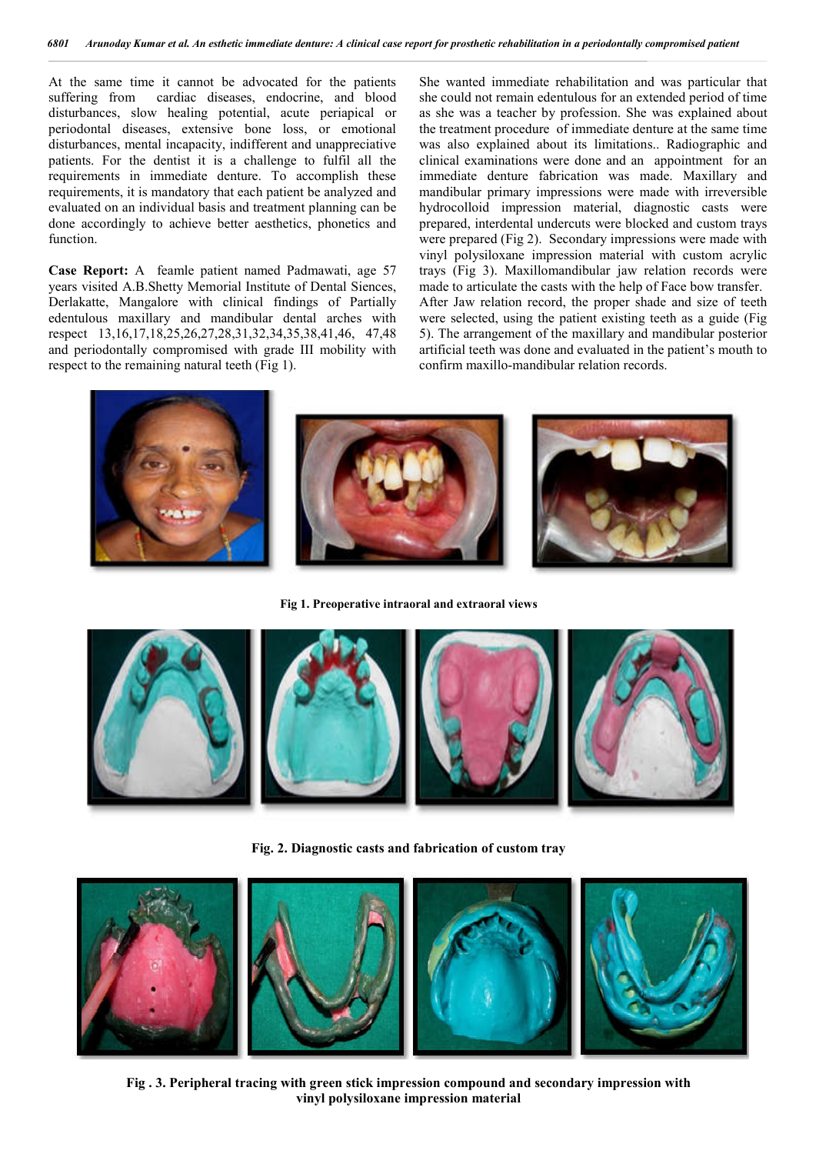At the same time it cannot be advocated for the patients suffering from cardiac diseases, endocrine, and blood disturbances, slow healing potential, acute periapical or periodontal diseases, extensive bone loss, or emotional disturbances, mental incapacity, indifferent and unappreciative patients. For the dentist it is a challenge to fulfil all the requirements in immediate denture. To accomplish these requirements, it is mandatory that each patient be analyzed and evaluated on an individual basis and treatment planning can be done accordingly to achieve better aesthetics, phonetics and function.

**Case Report:** A feamle patient named Padmawati, age 57 years visited A.B.Shetty Memorial Institute of Dental Siences, Derlakatte, Mangalore with clinical findings of Partially edentulous maxillary and mandibular dental arches with respect 13,16,17,18,25,26,27,28,31,32,34,35,38,41,46, 47,48 and periodontally compromised with grade III mobility with respect to the remaining natural teeth (Fig 1).

She wanted immediate rehabilitation and was particular that she could not remain edentulous for an extended period of time as she was a teacher by profession. She was explained about the treatment procedure of immediate denture at the same time was also explained about its limitations.. Radiographic and clinical examinations were done and an appointment for an immediate denture fabrication was made. Maxillary and mandibular primary impressions were made with irreversible hydrocolloid impression material, diagnostic casts were prepared, interdental undercuts were blocked and custom trays were prepared (Fig 2). Secondary impressions were made with vinyl polysiloxane impression material with custom acrylic trays (Fig 3). Maxillomandibular jaw relation records were made to articulate the casts with the help of Face bow transfer. After Jaw relation record, the proper shade and size of teeth were selected, using the patient existing teeth as a guide (Fig 5). The arrangement of the maxillary and mandibular posterior artificial teeth was done and evaluated in the patient's mouth to confirm maxillo-mandibular relation records.



**Fig 1. Preoperative intraoral and extraoral views**



**Fig. 2. Diagnostic casts and fabrication of custom tray**



**Fig . 3. Peripheral tracing with green stick impression compound and secondary impression with vinyl polysiloxane impression material**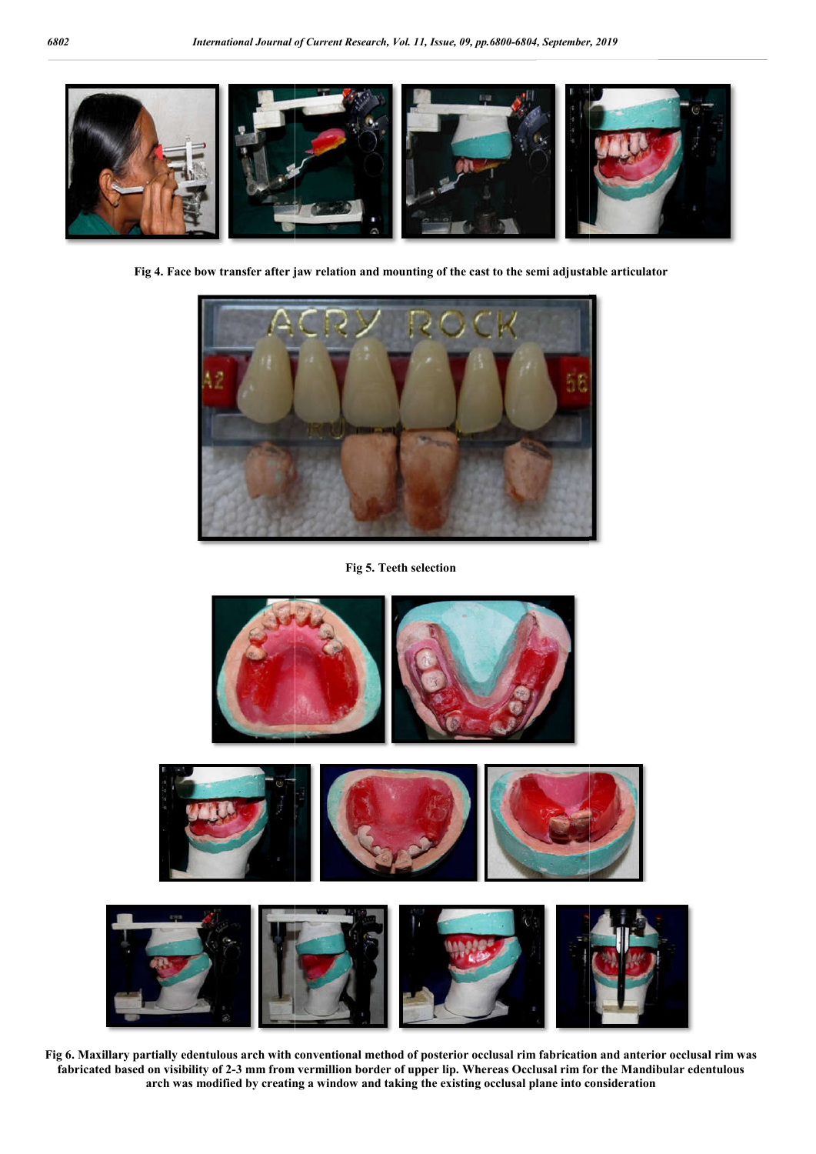

**Fig 4. Face bow transfer after jaw relation and mounting of the cast to the semi adjustable articulator**



**Fig 5. Teeth selection**



**Fig 6. Maxillary partially edentulous arch with conventional method of posterior occlusal rim fabrication and fabricated based on visibility of 2-3 mm from vermillion border of upper lip. Whereas Occlusal rim for the Mandibular edentulous edentulous arch was modified by creating a window and taking the existing occlusal plane into consideration**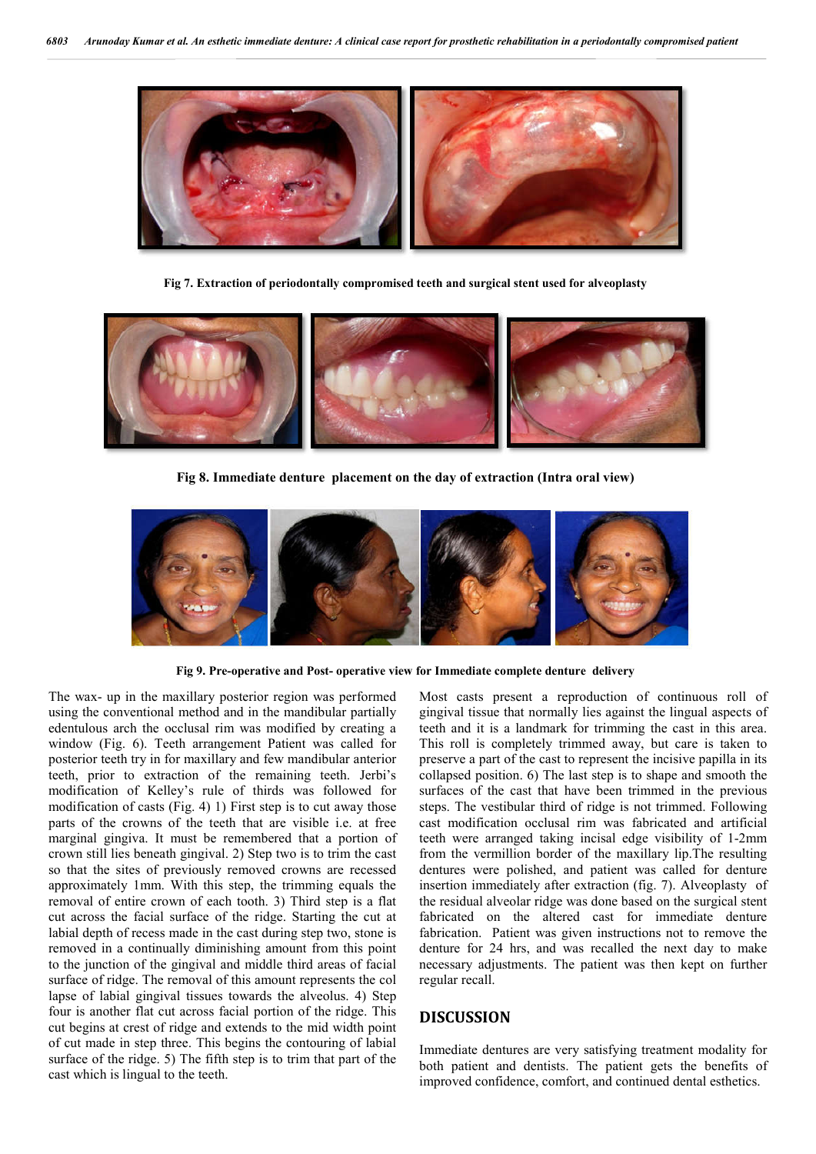

**Fig 7. Extraction of periodontally compromised teeth and surgical stent used for alveoplasty**



**Fig 8. Immediate denture placement on the day of extraction (Intra oral view)**



**Fig 9. Pre-operative and Post- operative view for Immediate complete denture delivery**

The wax- up in the maxillary posterior region was performed using the conventional method and in the mandibular partially edentulous arch the occlusal rim was modified by creating a window (Fig. 6). Teeth arrangement Patient was called for posterior teeth try in for maxillary and few mandibular anterior teeth, prior to extraction of the remaining teeth. Jerbi's modification of Kelley's rule of thirds was followed for modification of casts (Fig. 4) 1) First step is to cut away those parts of the crowns of the teeth that are visible i.e. at free marginal gingiva. It must be remembered that a portion of crown still lies beneath gingival. 2) Step two is to trim the cast so that the sites of previously removed crowns are recessed approximately 1mm. With this step, the trimming equals the removal of entire crown of each tooth. 3) Third step is a flat cut across the facial surface of the ridge. Starting the cut at labial depth of recess made in the cast during step two, stone is removed in a continually diminishing amount from this point to the junction of the gingival and middle third areas of facial surface of ridge. The removal of this amount represents the col lapse of labial gingival tissues towards the alveolus. 4) Step four is another flat cut across facial portion of the ridge. This cut begins at crest of ridge and extends to the mid width point of cut made in step three. This begins the contouring of labial surface of the ridge. 5) The fifth step is to trim that part of the cast which is lingual to the teeth.

Most casts present a reproduction of continuous roll of gingival tissue that normally lies against the lingual aspects of teeth and it is a landmark for trimming the cast in this area. This roll is completely trimmed away, but care is taken to preserve a part of the cast to represent the incisive papilla in its collapsed position. 6) The last step is to shape and smooth the surfaces of the cast that have been trimmed in the previous steps. The vestibular third of ridge is not trimmed. Following cast modification occlusal rim was fabricated and artificial teeth were arranged taking incisal edge visibility of 1-2mm from the vermillion border of the maxillary lip.The resulting dentures were polished, and patient was called for denture insertion immediately after extraction (fig. 7). Alveoplasty of the residual alveolar ridge was done based on the surgical stent fabricated on the altered cast for immediate denture fabrication. Patient was given instructions not to remove the denture for 24 hrs, and was recalled the next day to make necessary adjustments. The patient was then kept on further regular recall.

### **DISCUSSION**

Immediate dentures are very satisfying treatment modality for both patient and dentists. The patient gets the benefits of improved confidence, comfort, and continued dental esthetics.